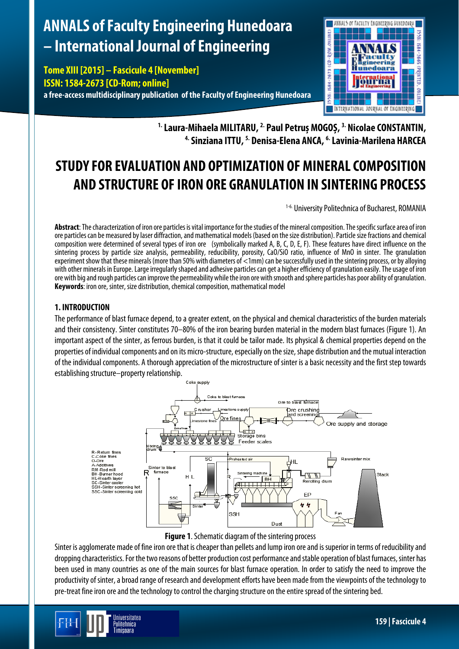# **ANNALS of Faculty Engineering Hunedoara – International Journal of Engineering**

**Tome XIII [2015] – Fascicule 4 [November] ISSN: 1584-2673 [CD-Rom; online] a free-access multidisciplinary publication of the Faculty of Engineering Hunedoara**



<sup>1.</sup> Laura-Mihaela MILITARU, <sup>2.</sup> Paul Petrus MOGOS, <sup>3.</sup> Nicolae CONSTANTIN, **4.Sinziana ITTU, 5. Denisa-Elena ANCA, 6.Lavinia-Marilena HARCEA**

## **STUDY FOR EVALUATION AND OPTIMIZATION OF MINERAL COMPOSITION AND STRUCTURE OF IRON ORE GRANULATION IN SINTERING PROCESS**

<sup>1-6.</sup> University Politechnica of Bucharest, ROMANIA

**Abstract**: The characterization of iron ore particles is vital importance for the studies of the mineral composition. The specific surface area of iron ore particles can be measured by laser diffraction, and mathematical models (based on the size distribution). Particle size fractions and chemical composition were determined of several types of iron ore (symbolically marked A, B, C, D, E, F). These features have direct influence on the sintering process by particle size analysis, permeability, reducibility, porosity, CaO/SiO ratio, influence of MnO in sinter. The granulation experiment show that these minerals (more than 50% with diameters of <1mm) can be successfully used in the sintering process, or by alloying with other minerals in Europe. Large irregularly shaped and adhesive particles can get a higher efficiency of granulation easily. The usage of iron ore with big and rough particles can improve the permeability while the iron ore with smooth and sphere particles has poor ability of granulation. **Keywords**: iron ore, sinter, size distribution, chemical composition, mathematical model

## **1. INTRODUCTION**

The performance of blast furnace depend, to a greater extent, on the physical and chemical characteristics of the burden materials and their consistency. Sinter constitutes 70–80% of the iron bearing burden material in the modern blast furnaces (Figure 1). An important aspect of the sinter, as ferrous burden, is that it could be tailor made. Its physical & chemical properties depend on the properties of individual components and on its micro-structure, especially on the size, shape distribution and the mutual interaction of the individual components. A thorough appreciation of the microstructure of sinter is a basic necessity and the first step towards establishing structure–property relationship.





Sinter is agglomerate made of fine iron ore that is cheaper than pellets and lump iron ore and is superior in terms of reducibility and dropping characteristics. For the two reasons of better production cost performance and stable operation of blast furnaces, sinter has been used in many countries as one of the main sources for blast furnace operation. In order to satisfy the need to improve the productivity of sinter, a broad range of research and development efforts have been made from the viewpoints of the technology to pre-treat fine iron ore and the technology to control the charging structure on the entire spread of the sintering bed.

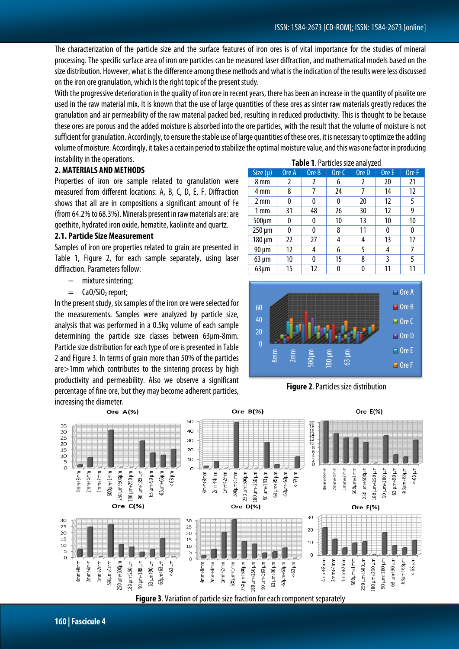The characterization of the particle size and the surface features of iron ores is of vital importance for the studies of mineral processing. The specific surface area of iron ore particles can be measured laser diffraction, and mathematical models based on the size distribution. However, what is the difference among these methods and what is the indication of the results were less discussed on the iron ore granulation, which is the right topic of the present study.

With the progressive deterioration in the quality of iron ore in recent years, there has been an increase in the quantity of pisolite ore used in the raw material mix. It is known that the use of large quantities of these ores as sinter raw materials greatly reduces the granulation and air permeability of the raw material packed bed, resulting in reduced productivity. This is thought to be because these ores are porous and the added moisture is absorbed into the ore particles, with the result that the volume of moisture is not sufficient for granulation. Accordingly, to ensure the stable use of large quantities of these ores, it is necessary to optimize the adding volume of moisture. Accordingly, it takes a certain period to stabilize the optimal moisture value, and this was one factor in producing instability in the operations. **Table 1**.Particles size analyzed

#### **2. MATERIALS AND METHODS**

Properties of iron ore sample related to granulation were measured from different locations: A, B, C, D, E, F. Diffraction shows that all are in compositions a significant amount of Fe (from64.2%to 68.3%). Minerals present in raw materialsare: are goethite, hydrated iron oxide, hematite, kaolinite and quartz.

### **2.1. Particle Size Measurement**

Samples of iron ore properties related to grain are presented in Table 1, Figure 2, for each sample separately, using laser diffraction. Parameters follow:

- = mixture sintering;
- $=$  CaO/SiO<sub>2</sub> report;

In the present study, six samples of the iron ore were selected for the measurements. Samples were analyzed by particle size, analysis that was performed in a 0.5kg volume of each sample determining the particle size classes between 63μm-8mm. Particle size distribution for each type of ore is presented in Table 2 and Figure 3. In terms of grain more than 50% of the particles are>1mm which contributes to the sintering process by high productivity and permeability. Also we observe a significant percentage of fine ore, but they may become adherent particles, increasing the diameter.

| <b>IQNIC I.I GILILIC</b> SILC QIIQIYLCU |       |       |       |       |       |       |  |  |  |  |
|-----------------------------------------|-------|-------|-------|-------|-------|-------|--|--|--|--|
| Size $(\mu)$                            | Ore A | Ore B | Ore C | Ore D | Ore E | Ore F |  |  |  |  |
| 8 mm                                    | 2     | 2     | 6     |       | 20    | 21    |  |  |  |  |
| 4 mm                                    | 8     | 7     | 24    |       | 14    | 12    |  |  |  |  |
| $2 \text{ mm}$                          | 0     | 0     | 0     | 20    | 12    | 5     |  |  |  |  |
| $1 \,\mathrm{mm}$                       | 31    | 48    | 26    | 30    | 12    | 9     |  |  |  |  |
| $500 \mu m$                             | 0     | 0     | 10    | 13    | 10    | 10    |  |  |  |  |
| 250 µm                                  | 0     | 0     | 8     | 11    | 0     | 0     |  |  |  |  |
| $180 \,\mathrm{\upmu m}$                | 22    | 27    | 4     | 4     | 13    | 17    |  |  |  |  |
| $90 \mu m$                              | 12    | 4     | 6     | 5     | 4     |       |  |  |  |  |
| $63 \mu m$                              | 10    | 0     | 15    | 8     | 3     | 5     |  |  |  |  |
| $63 \mu m$                              | 15    | 12    | 0     |       | 11    | 11    |  |  |  |  |



**Figure 2. Particles size distribution** 



**160 | Fascicule 4**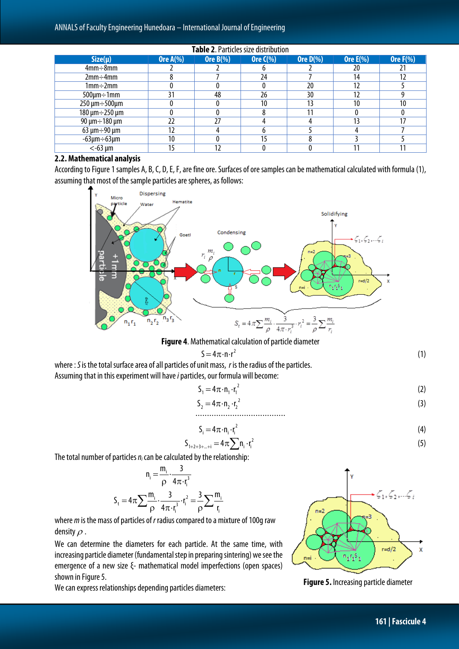## ANNALS of Faculty Engineering Hunedoara – International Journal of Engineering

| Table 2. Particles size distribution |             |             |             |             |                 |                 |  |
|--------------------------------------|-------------|-------------|-------------|-------------|-----------------|-----------------|--|
| $Size(\mu)$                          | Ore $A(\%)$ | Ore $B(\%)$ | Ore $C(\%)$ | Ore $D(\%)$ | <b>Ore E(%)</b> | <b>Ore F(%)</b> |  |
| $4mm \div 8mm$                       |             |             |             |             | 20              | 21              |  |
| $2mm \div 4mm$                       |             |             | 24          |             | 14              | 12              |  |
| 1mm÷2mm                              |             |             |             | 20          | 12              |                 |  |
| $500 \mu m \div 1 mm$                |             | 48          | 26          | 30          | 12              |                 |  |
| 250 µm÷500µm                         |             |             | 10          | 13          | 10              | 10              |  |
| 180 µm÷250 µm                        |             |             |             |             |                 |                 |  |
| 90 µm ÷ 180 µm                       | 22          | דר          |             |             | 13              |                 |  |
| $63 \mu m \div 90 \mu m$             | 12          |             |             |             |                 |                 |  |
| $-63\mu m \div 63\mu m$              | 10          |             | 15          |             |                 |                 |  |
| $<$ -63 µm                           | 15          | 1.          |             |             |                 |                 |  |

## **2.2. Mathematical analysis**

According to Figure 1 samples A, B, C, D, E, F, are fine ore. Surfaces of ore samples can be mathematical calculated with formula (1), assuming that most of the sample particles are spheres, as follows:



## **Figure 4.** Mathematical calculation of particle diameter

$$
S = 4\pi \cdot n \cdot r^2 \tag{1}
$$

where : *S* is the total surface area of all particles of unit mass, *r* is the radius of the particles. Assumingthat in thisexperiment will have*i* particles, our formula will become:

$$
S_1 = 4\pi \cdot n_1 \cdot r_1^2 \tag{2}
$$

$$
S_2 = 4\pi \cdot n_2 \cdot r_2^2 \tag{3}
$$

$$
\begin{array}{l} \rule{2mm}{2mm} \rule{2mm}{2mm} \rule{2mm}{2mm} \rule{2mm}{2mm} \rule{2mm}{2mm} \rule{2mm}{2mm} \rule{2mm}{2mm} \rule{2mm}{2mm} \rule{2mm}{2mm} \rule{2mm}{2mm} \rule{2mm}{2mm} \rule{2mm}{2mm} \rule{2mm}{2mm} \rule{2mm}{2mm} \rule{2mm}{2mm} \rule{2mm}{2mm} \rule{2mm}{2mm} \rule{2mm}{2mm} \rule{2mm}{2mm} \rule{2mm}{2mm} \rule{2mm}{2mm} \rule{2mm}{2mm} \rule{2mm}{2mm} \rule{2mm}{2mm} \rule{2mm}{2mm} \rule{2mm}{2mm} \rule{2mm}{2mm} \rule{2mm}{2mm} \rule{2mm}{2mm} \rule{2mm}{2mm} \rule{2mm}{2mm} \rule{2mm}{2mm} \rule{2mm}{2mm} \rule{2mm}{2mm} \rule{2mm}{2mm} \rule{2mm}{2mm} \rule{2mm}{2mm} \rule{2mm}{2mm} \rule{2mm}{2mm} \rule{2mm}{2mm} \rule{2mm}{2mm} \rule{2mm}{2mm} \rule{2mm}{2mm} \rule{2mm}{2mm} \rule{2mm}{2mm} \rule{2mm}{2mm} \rule{2mm}{2mm} \rule{2mm}{2mm} \rule{2mm}{2mm} \rule{2mm}{2mm} \rule{2mm}{2mm} \rule{2mm}{2mm} \rule{2mm}{2mm} \rule{2mm}{2mm} \rule{2mm}{2mm} \rule{2mm}{2mm} \rule{2mm}{2mm} \rule{2mm}{2mm} \rule{2mm}{2mm} \rule{2mm}{2mm} \rule{2mm}{2mm} \rule{2mm}{2mm} \rule{2mm}{2mm} \rule{2mm}{2mm} \rule{2mm}{2mm} \rule{2mm}{2mm} \rule{2mm}{2mm} \rule{2mm}{2mm} \rule{2mm}{2mm} \rule{2mm}{2mm} \rule{2mm}{2mm} \rule{2mm}{2mm} \rule{2mm}{2mm} \rule{2mm}{2mm} \rule{2mm}{2mm} \rule{2mm}{2mm} \rule{2mm}{2mm} \rule{2mm}{2mm} \rule{2mm}{2mm} \rule{2mm}{2mm} \rule{2mm}{2mm} \rule{2mm}{2mm} \rule{2mm}{2mm} \rule{2mm}{
$$

$$
S_i = 4\pi \cdot n_i \cdot r_i^2 \tag{4}
$$

$$
S_{1+2+3+\dots+i} = 4\pi \sum_{i} n_i \cdot r_i^2
$$
 (5)

The total number of particles  $n_i$  can be calculated by the relationship:

$$
n_{i} = \frac{m_{i}}{\rho} \cdot \frac{3}{4\pi \cdot r_{i}^{3}}
$$

$$
S_{t} = 4\pi \sum \frac{m_{i}}{\rho} \cdot \frac{3}{4\pi \cdot r_{i}^{3}} \cdot r_{i}^{2} = \frac{3}{\rho} \sum \frac{m_{i}}{r_{i}}
$$

where *m* is the mass of particles of *r* radius compared to a mixture of 100g raw density  $\rho$ .

We can determine the diameters for each particle. At the same time, with increasing particle diameter (fundamental step in preparing sintering) we see the emergence of a new size ξ- mathematical model imperfections (open spaces) shown in Figure 5.

We can express relationshipsdepending particlesdiameters: **Figure 5.** Increasingparticlediameter

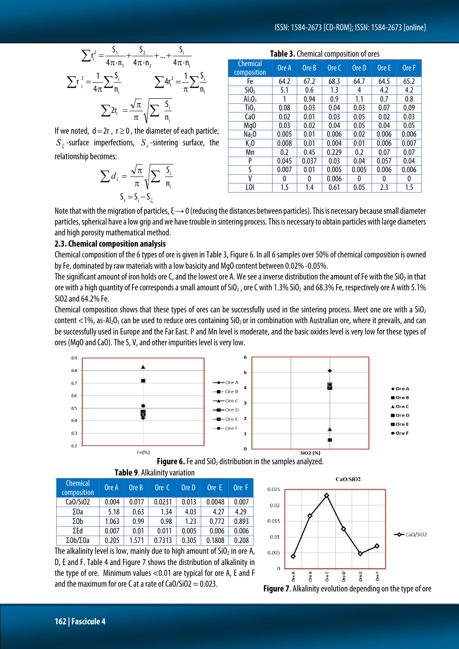$$
\sum r_i^2 = \frac{S_1}{4\pi \cdot n_1} + \frac{S_2}{4\pi \cdot n_2} + ... + \frac{S_i}{4\pi \cdot n_i}
$$

$$
\sum r_i^2 = \frac{1}{4\pi} \sum \frac{S_i}{n_i} \qquad \sum 4r_i^2 = \frac{1}{\pi} \sum \frac{S_i}{n_i}
$$

$$
\sum 2r_i = \frac{\sqrt{\pi}}{\pi} \sqrt{\sum \frac{S_i}{n_i}}
$$

If we noted,  $d=2r$ ,  $r \ge 0$ , the diameter of each particle; *S*<sub>ξ</sub>-surface imperfections, *S*<sub>s</sub>-sintering surface, the relationship becomes:

$$
\sum d_i = \frac{\sqrt{\pi}}{\pi} \sqrt{\sum_{i} \frac{S_i}{n_i}}
$$

$$
S_s = S_i - S_{\zeta}
$$

| Table 3. Chemical composition of ores |       |       |         |       |       |         |  |  |
|---------------------------------------|-------|-------|---------|-------|-------|---------|--|--|
| <b>Chemical</b><br>composition        | Ore A | Ore B | Ore C   | Ore D | Ore E | Ore F   |  |  |
| Fe                                    | 64.2  | 67.2  | 68.3    | 64.7  | 64.5  | 65.2    |  |  |
| SiO <sub>2</sub>                      | 5.1   | 0.6   | $1.3\,$ | 4     | 4.2   | 4.2     |  |  |
| Al <sub>2</sub> O <sub>3</sub>        | 1     | 0.94  | 0.9     | 1.1   | 0.7   | 0.8     |  |  |
| TiO <sub>2</sub>                      | 0.08  | 0.03  | 0.04    | 0.03  | 0.07  | 0.09    |  |  |
| Ca <sub>0</sub>                       | 0.02  | 0.01  | 0.03    | 0.05  | 0.02  | 0.03    |  |  |
| Mg <sub>0</sub>                       | 0.03  | 0.02  | 0.04    | 0.05  | 0.04  | 0.05    |  |  |
| Na <sub>2</sub> O                     | 0.005 | 0.01  | 0.006   | 0.02  | 0.006 | 0.006   |  |  |
| K <sub>2</sub> 0                      | 0.008 | 0.01  | 0.004   | 0.01  | 0.006 | 0.007   |  |  |
| Mn                                    | 0.2   | 0.45  | 0.229   | 0.2   | 0.07  | 0.07    |  |  |
| P                                     | 0.045 | 0.037 | 0.03    | 0.04  | 0.057 | 0.04    |  |  |
| S                                     | 0.007 | 0.01  | 0.005   | 0.005 | 0.006 | 0.006   |  |  |
| ۷                                     | 0     | 0     | 0.006   | 0     | 0     | 0       |  |  |
| LOI                                   | 1.5   | 1.4   | 0.61    | 0.05  | 2.3   | $1.5\,$ |  |  |

Note that with the migration of particles,  $\xi \rightarrow 0$  (reducing the distances between particles). This is necessary because small diameter particles, spherical have a low grip and we have trouble in sintering process. This is necessary to obtain particles with large diameters and high porosity mathematical method.

#### **2.3. Chemical composition analysis**

Chemical composition of the 6 types of ore is given in Table 3, Figure 6. In all 6 samples over 50% of chemical composition is owned by Fe, dominated by raw materials with a low basicity and MgO content between 0.02% -0.05%.

The significant amount of iron holds ore C, and the lowest ore A. We see a inverse distribution the amount of Fe with the SiO<sub>2</sub> in that ore with a high quantity of Fe corresponds a small amount of  $SiO<sub>2</sub>$ , ore C with 1.3%  $SiO<sub>2</sub>$  and 68.3% Fe, respectively ore A with 5.1% SiO2 and 64.2% Fe.

Chemical composition shows that these types of ores can be successfully used in the sintering process. Meet one ore with a  $SiO<sub>2</sub>$ content <1%, as-Al<sub>2</sub>O<sub>3</sub> can be used to reduce ores containing SiO<sub>2</sub> or in combination with Australian ore, where it prevails, and can be successfully used in Europe and the Far East. P and Mn level is moderate, and the basic oxides level is very low for these types of ores (MgO and CaO). The S, V, and other impurities level is very low.





| <b>Chemical</b><br>composition | Ore A | Ore B | Ore C  | Ore D | Ore E  | Ore F |
|--------------------------------|-------|-------|--------|-------|--------|-------|
| CaO/SiO2                       | 0.004 | 0.017 | 0.0231 | 0.013 | 0.0048 | 0.007 |
| Σ0a                            | 5.18  | 0.63  | 1.34   | 4.03  | 4.27   | 4.29  |
| ΣOb                            | 1.063 | 0.99  | 0.98   | 1.23  | 0.772  | 0.893 |
| ΣEd                            | 0.007 | 0.01  | 0.011  | 0.005 | 0.006  | 0.006 |
| Σ0b/Σ0a                        | 0.205 | 1.571 | 0.7313 | 0.305 | 0.1808 | 0.208 |

**Table 9. Alkalinity variation** 

The alkalinity level is low, mainly due to high amount of  $SiO<sub>2</sub>$  in ore A, D, E and F. Table 4 and Figure 7 shows the distribution of alkalinity in the type of ore. Minimum values <0.01 are typical for ore A, E and F and the maximum for ore C at a rate of  $CaO/SiO2 = 0.023$ .